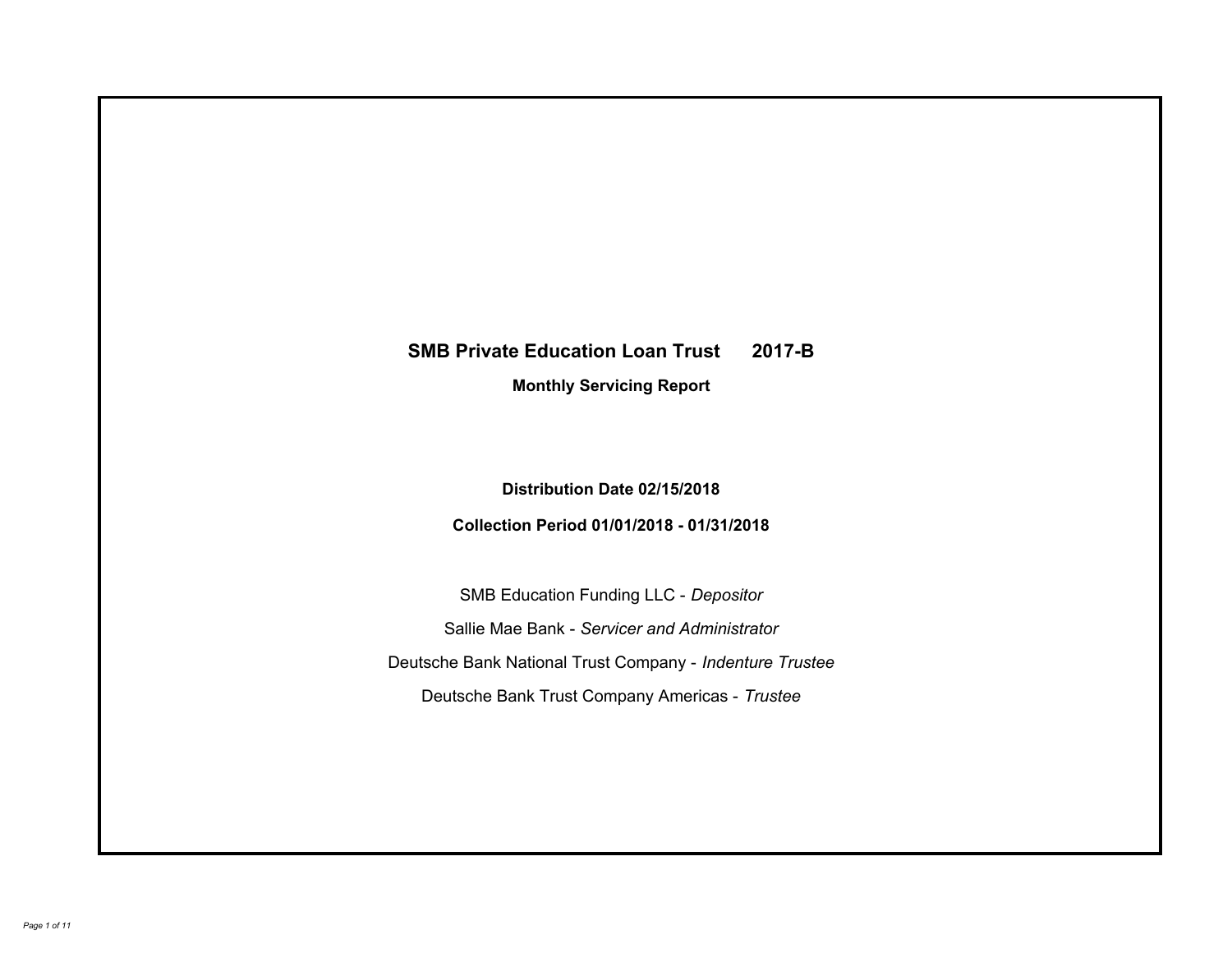# **SMB Private Education Loan Trust 2017-B Monthly Servicing Report**

## **Distribution Date 02/15/2018**

# **Collection Period 01/01/2018 - 01/31/2018**

SMB Education Funding LLC - *Depositor* Sallie Mae Bank - *Servicer and Administrator* Deutsche Bank National Trust Company - *Indenture Trustee* Deutsche Bank Trust Company Americas - *Trustee*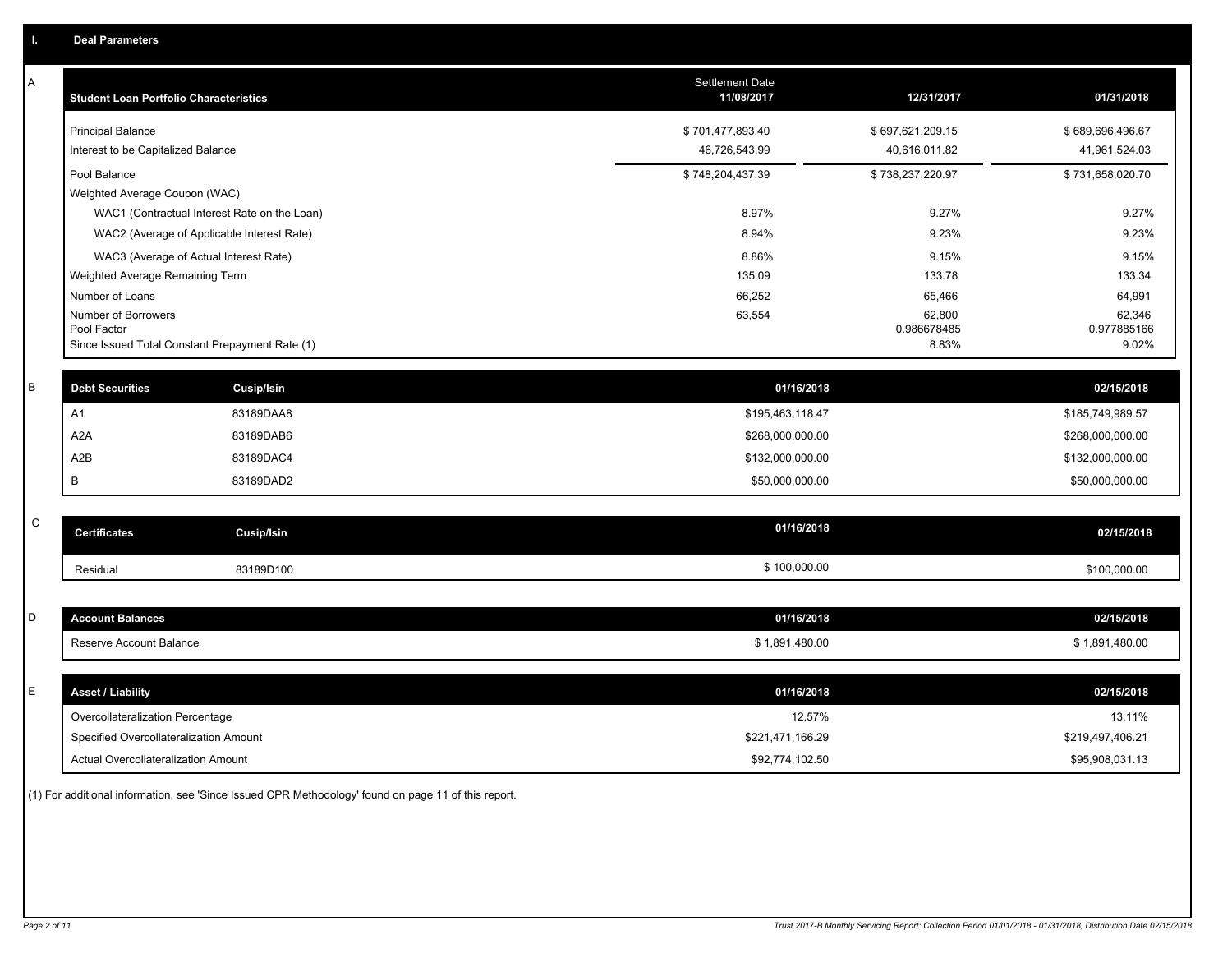| Α           | <b>Student Loan Portfolio Characteristics</b>   |                   | <b>Settlement Date</b><br>11/08/2017 | 12/31/2017            | 01/31/2018            |
|-------------|-------------------------------------------------|-------------------|--------------------------------------|-----------------------|-----------------------|
|             | <b>Principal Balance</b>                        |                   | \$701,477,893.40                     | \$697,621,209.15      | \$689,696,496.67      |
|             | Interest to be Capitalized Balance              |                   | 46,726,543.99                        | 40,616,011.82         | 41,961,524.03         |
|             | Pool Balance                                    |                   | \$748,204,437.39                     | \$738,237,220.97      | \$731,658,020.70      |
|             | Weighted Average Coupon (WAC)                   |                   |                                      |                       |                       |
|             | WAC1 (Contractual Interest Rate on the Loan)    |                   | 8.97%                                | 9.27%                 | 9.27%                 |
|             | WAC2 (Average of Applicable Interest Rate)      |                   | 8.94%                                | 9.23%                 | 9.23%                 |
|             | WAC3 (Average of Actual Interest Rate)          |                   | 8.86%                                | 9.15%                 | 9.15%                 |
|             | Weighted Average Remaining Term                 |                   | 135.09                               | 133.78                | 133.34                |
|             | Number of Loans                                 |                   | 66,252                               | 65,466                | 64,991                |
|             | Number of Borrowers<br>Pool Factor              |                   | 63,554                               | 62,800<br>0.986678485 | 62,346<br>0.977885166 |
|             | Since Issued Total Constant Prepayment Rate (1) |                   |                                      | 8.83%                 | 9.02%                 |
|             |                                                 |                   |                                      |                       |                       |
| B           | <b>Debt Securities</b>                          | <b>Cusip/Isin</b> | 01/16/2018                           |                       | 02/15/2018            |
|             | A1                                              | 83189DAA8         | \$195,463,118.47                     |                       | \$185,749,989.57      |
|             | A <sub>2</sub> A                                | 83189DAB6         | \$268,000,000.00                     |                       | \$268,000,000.00      |
|             | A2B                                             | 83189DAC4         | \$132,000,000.00                     |                       | \$132,000,000.00      |
|             | B                                               | 83189DAD2         | \$50,000,000.00                      |                       | \$50,000,000.00       |
|             |                                                 |                   |                                      |                       |                       |
| $\mathsf C$ | <b>Certificates</b>                             | Cusip/Isin        | 01/16/2018                           |                       | 02/15/2018            |
|             | Residual                                        | 83189D100         | \$100,000.00                         |                       | \$100,000.00          |
|             |                                                 |                   |                                      |                       |                       |
| D           | <b>Account Balances</b>                         |                   | 01/16/2018                           |                       | 02/15/2018            |
|             | Reserve Account Balance                         |                   | \$1,891,480.00                       |                       | \$1,891,480.00        |
|             |                                                 |                   |                                      |                       |                       |
| E           | <b>Asset / Liability</b>                        |                   | 01/16/2018                           |                       | 02/15/2018            |
|             | Overcollateralization Percentage                |                   | 12.57%                               |                       | 13.11%                |
|             | Specified Overcollateralization Amount          |                   | \$221,471,166.29                     |                       | \$219,497,406.21      |
|             | Actual Overcollateralization Amount             |                   | \$92,774,102.50                      |                       | \$95,908,031.13       |

(1) For additional information, see 'Since Issued CPR Methodology' found on page 11 of this report.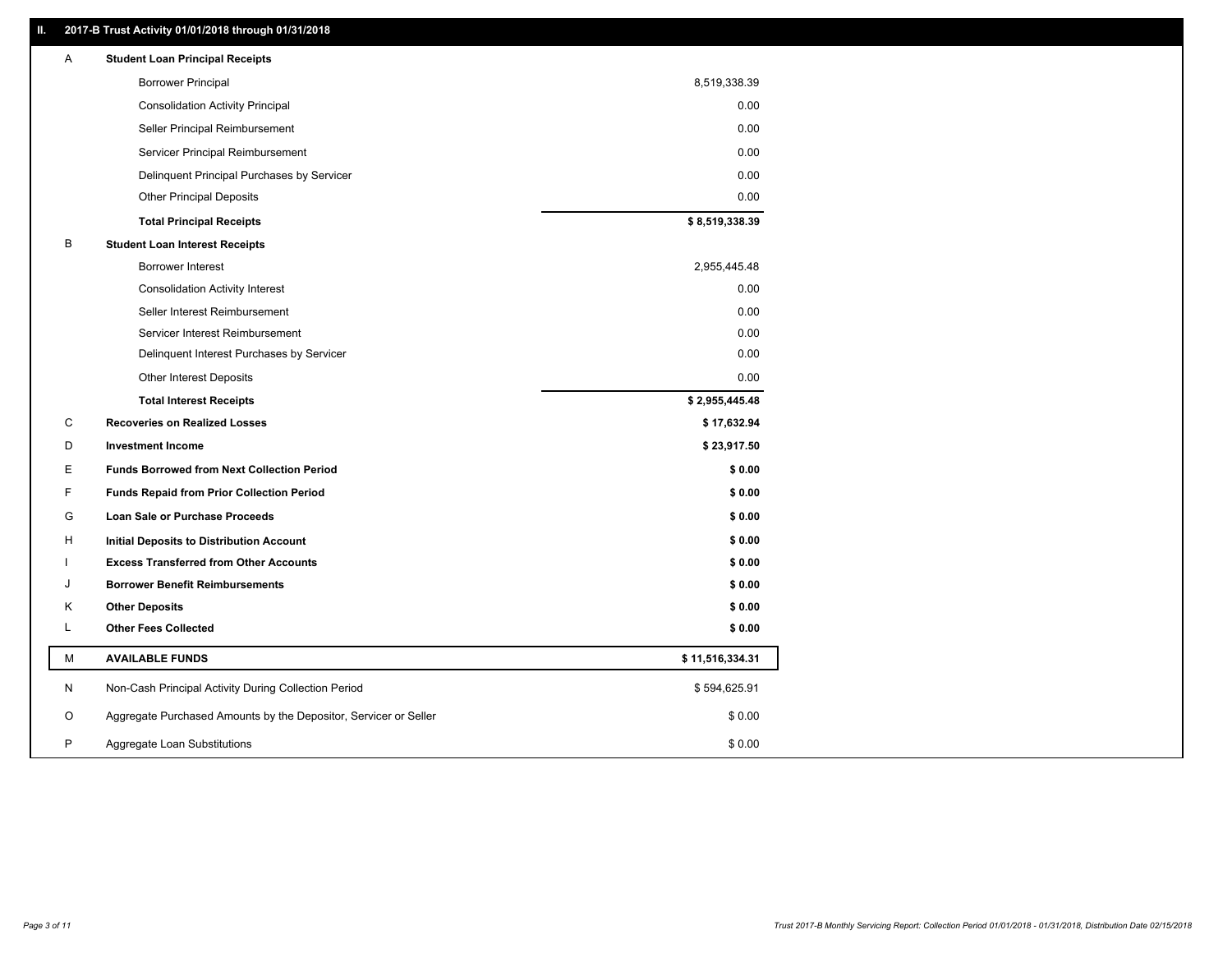### **II. 2017-B Trust Activity 01/01/2018 through 01/31/2018**

| <b>Borrower Principal</b><br>8,519,338.39                                 |        |
|---------------------------------------------------------------------------|--------|
| <b>Consolidation Activity Principal</b>                                   | 0.00   |
| Seller Principal Reimbursement                                            | 0.00   |
| Servicer Principal Reimbursement                                          | 0.00   |
| Delinquent Principal Purchases by Servicer                                | 0.00   |
| <b>Other Principal Deposits</b>                                           | 0.00   |
| \$8,519,338.39<br><b>Total Principal Receipts</b>                         |        |
| B<br><b>Student Loan Interest Receipts</b>                                |        |
| Borrower Interest<br>2,955,445.48                                         |        |
| <b>Consolidation Activity Interest</b>                                    | 0.00   |
| Seller Interest Reimbursement                                             | 0.00   |
| Servicer Interest Reimbursement                                           | 0.00   |
| Delinquent Interest Purchases by Servicer                                 | 0.00   |
| <b>Other Interest Deposits</b>                                            | 0.00   |
| \$2,955,445.48<br><b>Total Interest Receipts</b>                          |        |
| C<br><b>Recoveries on Realized Losses</b><br>\$17,632.94                  |        |
| D<br><b>Investment Income</b><br>\$23,917.50                              |        |
| Е<br><b>Funds Borrowed from Next Collection Period</b>                    | \$0.00 |
| F<br><b>Funds Repaid from Prior Collection Period</b>                     | \$0.00 |
| G<br>Loan Sale or Purchase Proceeds                                       | \$0.00 |
| н<br><b>Initial Deposits to Distribution Account</b>                      | \$0.00 |
| <b>Excess Transferred from Other Accounts</b>                             | \$0.00 |
| <b>Borrower Benefit Reimbursements</b><br>J                               | \$0.00 |
| <b>Other Deposits</b><br>Κ                                                | \$0.00 |
| Г<br><b>Other Fees Collected</b>                                          | \$0.00 |
| M<br><b>AVAILABLE FUNDS</b><br>\$11,516,334.31                            |        |
| N<br>Non-Cash Principal Activity During Collection Period<br>\$594,625.91 |        |
| Aggregate Purchased Amounts by the Depositor, Servicer or Seller<br>O     | \$0.00 |
| P<br>Aggregate Loan Substitutions                                         | \$0.00 |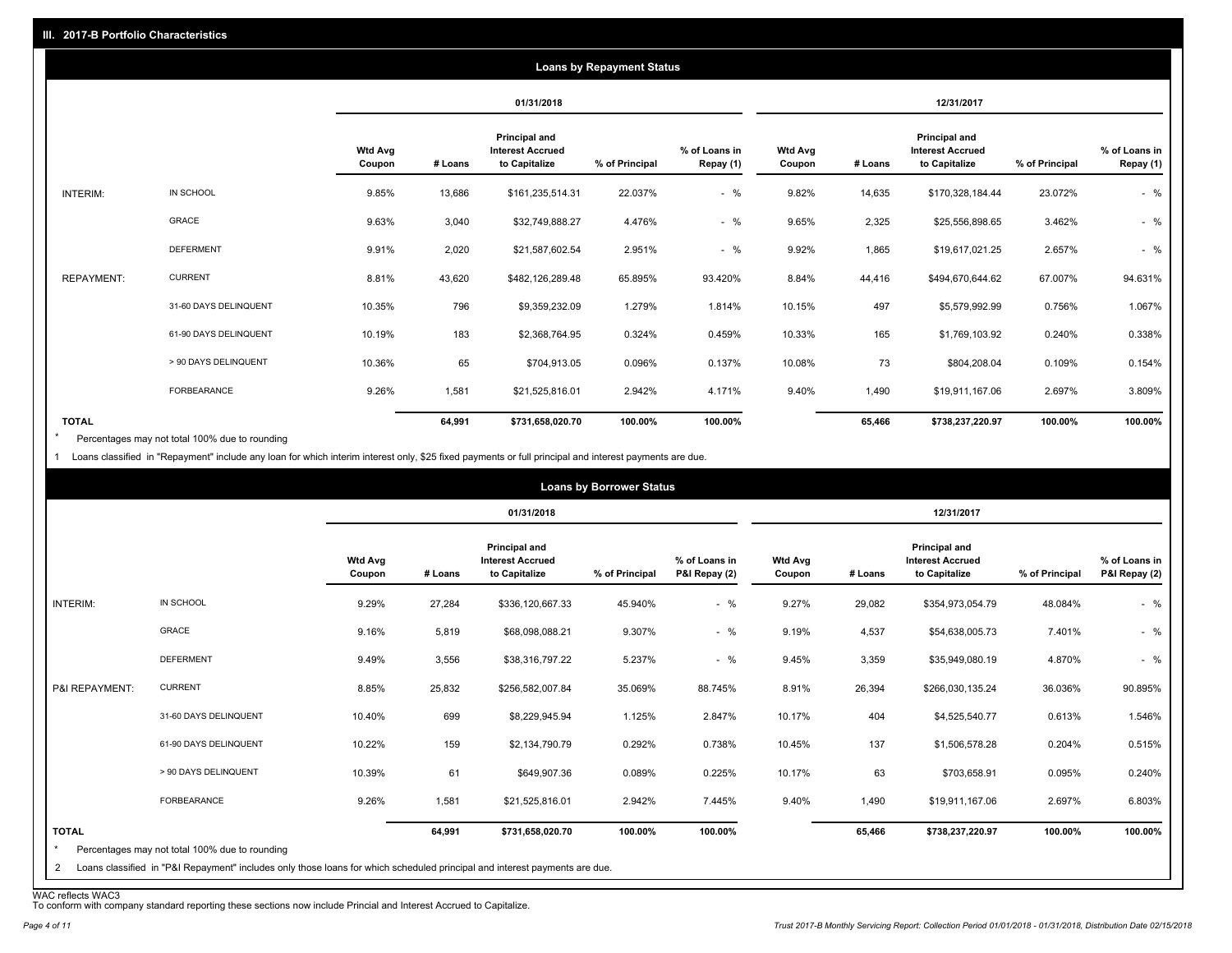|                   |                       |                          |         |                                                                  | <b>Loans by Repayment Status</b> |                            |                          |         |                                                           |                |                            |
|-------------------|-----------------------|--------------------------|---------|------------------------------------------------------------------|----------------------------------|----------------------------|--------------------------|---------|-----------------------------------------------------------|----------------|----------------------------|
|                   |                       |                          |         | 01/31/2018                                                       |                                  |                            |                          |         | 12/31/2017                                                |                |                            |
|                   |                       | <b>Wtd Avg</b><br>Coupon | # Loans | <b>Principal and</b><br><b>Interest Accrued</b><br>to Capitalize | % of Principal                   | % of Loans in<br>Repay (1) | <b>Wtd Avg</b><br>Coupon | # Loans | Principal and<br><b>Interest Accrued</b><br>to Capitalize | % of Principal | % of Loans in<br>Repay (1) |
| INTERIM:          | IN SCHOOL             | 9.85%                    | 13,686  | \$161,235,514.31                                                 | 22.037%                          | $-$ %                      | 9.82%                    | 14,635  | \$170,328,184.44                                          | 23.072%        | $-$ %                      |
|                   | GRACE                 | 9.63%                    | 3,040   | \$32,749,888.27                                                  | 4.476%                           | $-$ %                      | 9.65%                    | 2,325   | \$25,556,898.65                                           | 3.462%         | $-$ %                      |
|                   | <b>DEFERMENT</b>      | 9.91%                    | 2,020   | \$21,587,602.54                                                  | 2.951%                           | $-$ %                      | 9.92%                    | 1,865   | \$19,617,021.25                                           | 2.657%         | $-$ %                      |
| <b>REPAYMENT:</b> | <b>CURRENT</b>        | 8.81%                    | 43,620  | \$482,126,289.48                                                 | 65.895%                          | 93.420%                    | 8.84%                    | 44,416  | \$494,670,644.62                                          | 67.007%        | 94.631%                    |
|                   | 31-60 DAYS DELINQUENT | 10.35%                   | 796     | \$9,359,232.09                                                   | 1.279%                           | 1.814%                     | 10.15%                   | 497     | \$5,579,992.99                                            | 0.756%         | 1.067%                     |
|                   | 61-90 DAYS DELINQUENT | 10.19%                   | 183     | \$2,368,764.95                                                   | 0.324%                           | 0.459%                     | 10.33%                   | 165     | \$1,769,103.92                                            | 0.240%         | 0.338%                     |
|                   | > 90 DAYS DELINQUENT  | 10.36%                   | 65      | \$704,913.05                                                     | 0.096%                           | 0.137%                     | 10.08%                   | 73      | \$804,208.04                                              | 0.109%         | 0.154%                     |
|                   | FORBEARANCE           | 9.26%                    | 1,581   | \$21,525,816.01                                                  | 2.942%                           | 4.171%                     | 9.40%                    | 1,490   | \$19,911,167.06                                           | 2.697%         | 3.809%                     |
| <b>TOTAL</b>      |                       |                          | 64,991  | \$731,658,020.70                                                 | 100.00%                          | 100.00%                    |                          | 65,466  | \$738,237,220.97                                          | 100.00%        | 100.00%                    |

Percentages may not total 100% due to rounding \*

1 Loans classified in "Repayment" include any loan for which interim interest only, \$25 fixed payments or full principal and interest payments are due.

|                         |                                                                                                                            |                          |         |                                                           | <b>Loans by Borrower Status</b> |                                |                          |         |                                                                  |                |                                |
|-------------------------|----------------------------------------------------------------------------------------------------------------------------|--------------------------|---------|-----------------------------------------------------------|---------------------------------|--------------------------------|--------------------------|---------|------------------------------------------------------------------|----------------|--------------------------------|
|                         |                                                                                                                            |                          |         | 01/31/2018                                                |                                 |                                |                          |         | 12/31/2017                                                       |                |                                |
|                         |                                                                                                                            | <b>Wtd Avg</b><br>Coupon | # Loans | Principal and<br><b>Interest Accrued</b><br>to Capitalize | % of Principal                  | % of Loans in<br>P&I Repay (2) | <b>Wtd Avg</b><br>Coupon | # Loans | <b>Principal and</b><br><b>Interest Accrued</b><br>to Capitalize | % of Principal | % of Loans in<br>P&I Repay (2) |
| INTERIM:                | IN SCHOOL                                                                                                                  | 9.29%                    | 27,284  | \$336,120,667.33                                          | 45.940%                         | $-$ %                          | 9.27%                    | 29,082  | \$354,973,054.79                                                 | 48.084%        | $-$ %                          |
|                         | <b>GRACE</b>                                                                                                               | 9.16%                    | 5,819   | \$68,098,088.21                                           | 9.307%                          | $-$ %                          | 9.19%                    | 4,537   | \$54,638,005.73                                                  | 7.401%         | $-$ %                          |
|                         | <b>DEFERMENT</b>                                                                                                           | 9.49%                    | 3,556   | \$38,316,797.22                                           | 5.237%                          | $-$ %                          | 9.45%                    | 3,359   | \$35,949,080.19                                                  | 4.870%         | $-$ %                          |
| P&I REPAYMENT:          | <b>CURRENT</b>                                                                                                             | 8.85%                    | 25,832  | \$256,582,007.84                                          | 35.069%                         | 88.745%                        | 8.91%                    | 26,394  | \$266,030,135.24                                                 | 36.036%        | 90.895%                        |
|                         | 31-60 DAYS DELINQUENT                                                                                                      | 10.40%                   | 699     | \$8,229,945.94                                            | 1.125%                          | 2.847%                         | 10.17%                   | 404     | \$4,525,540.77                                                   | 0.613%         | 1.546%                         |
|                         | 61-90 DAYS DELINQUENT                                                                                                      | 10.22%                   | 159     | \$2,134,790.79                                            | 0.292%                          | 0.738%                         | 10.45%                   | 137     | \$1,506,578.28                                                   | 0.204%         | 0.515%                         |
|                         | > 90 DAYS DELINQUENT                                                                                                       | 10.39%                   | 61      | \$649,907.36                                              | 0.089%                          | 0.225%                         | 10.17%                   | 63      | \$703,658.91                                                     | 0.095%         | 0.240%                         |
|                         | FORBEARANCE                                                                                                                | 9.26%                    | 1,581   | \$21,525,816.01                                           | 2.942%                          | 7.445%                         | 9.40%                    | 1,490   | \$19,911,167.06                                                  | 2.697%         | 6.803%                         |
| <b>TOTAL</b><br>$\star$ | Percentages may not total 100% due to rounding                                                                             |                          | 64,991  | \$731,658,020.70                                          | 100.00%                         | 100.00%                        |                          | 65,466  | \$738,237,220.97                                                 | 100.00%        | 100.00%                        |
| $\mathbf{2}$            | Loans classified in "P&I Repayment" includes only those loans for which scheduled principal and interest payments are due. |                          |         |                                                           |                                 |                                |                          |         |                                                                  |                |                                |

WAC reflects WAC3 To conform with company standard reporting these sections now include Princial and Interest Accrued to Capitalize.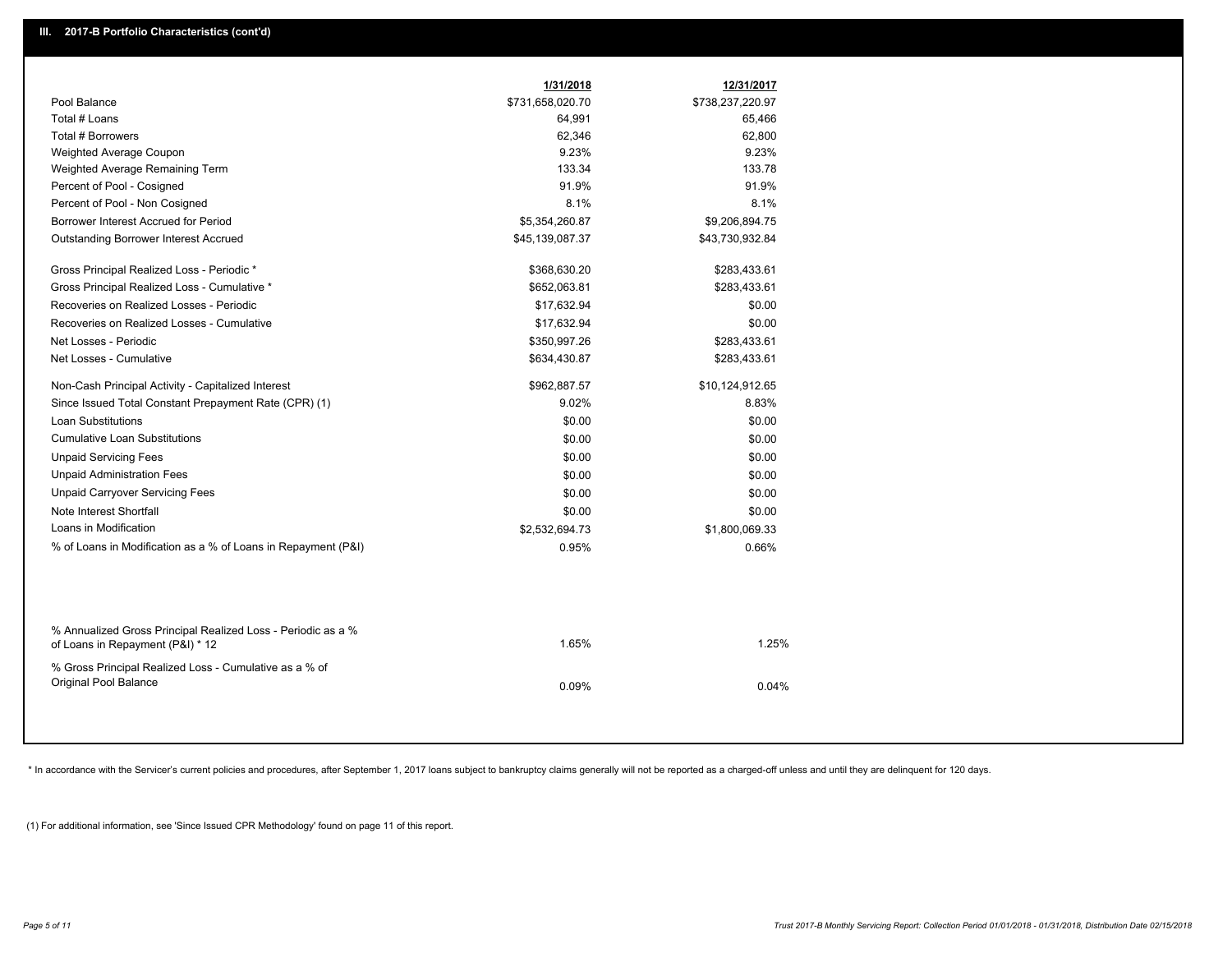|                                                                                                  | 1/31/2018        | 12/31/2017       |  |
|--------------------------------------------------------------------------------------------------|------------------|------------------|--|
| Pool Balance                                                                                     | \$731,658,020.70 | \$738,237,220.97 |  |
| Total # Loans                                                                                    | 64,991           | 65,466           |  |
| Total # Borrowers                                                                                | 62,346           | 62,800           |  |
| Weighted Average Coupon                                                                          | 9.23%            | 9.23%            |  |
| Weighted Average Remaining Term                                                                  | 133.34           | 133.78           |  |
| Percent of Pool - Cosigned                                                                       | 91.9%            | 91.9%            |  |
| Percent of Pool - Non Cosigned                                                                   | 8.1%             | 8.1%             |  |
| Borrower Interest Accrued for Period                                                             | \$5,354,260.87   | \$9,206,894.75   |  |
| Outstanding Borrower Interest Accrued                                                            | \$45,139,087.37  | \$43,730,932.84  |  |
| Gross Principal Realized Loss - Periodic *                                                       | \$368,630.20     | \$283,433.61     |  |
| Gross Principal Realized Loss - Cumulative *                                                     | \$652,063.81     | \$283,433.61     |  |
| Recoveries on Realized Losses - Periodic                                                         | \$17,632.94      | \$0.00           |  |
| Recoveries on Realized Losses - Cumulative                                                       | \$17,632.94      | \$0.00           |  |
| Net Losses - Periodic                                                                            | \$350,997.26     | \$283,433.61     |  |
| Net Losses - Cumulative                                                                          | \$634,430.87     | \$283,433.61     |  |
| Non-Cash Principal Activity - Capitalized Interest                                               | \$962,887.57     | \$10,124,912.65  |  |
| Since Issued Total Constant Prepayment Rate (CPR) (1)                                            | 9.02%            | 8.83%            |  |
| <b>Loan Substitutions</b>                                                                        | \$0.00           | \$0.00           |  |
| <b>Cumulative Loan Substitutions</b>                                                             | \$0.00           | \$0.00           |  |
| <b>Unpaid Servicing Fees</b>                                                                     | \$0.00           | \$0.00           |  |
| <b>Unpaid Administration Fees</b>                                                                | \$0.00           | \$0.00           |  |
| <b>Unpaid Carryover Servicing Fees</b>                                                           | \$0.00           | \$0.00           |  |
| Note Interest Shortfall                                                                          | \$0.00           | \$0.00           |  |
| Loans in Modification                                                                            | \$2,532,694.73   | \$1,800,069.33   |  |
| % of Loans in Modification as a % of Loans in Repayment (P&I)                                    | 0.95%            | 0.66%            |  |
|                                                                                                  |                  |                  |  |
| % Annualized Gross Principal Realized Loss - Periodic as a %<br>of Loans in Repayment (P&I) * 12 | 1.65%            | 1.25%            |  |
| % Gross Principal Realized Loss - Cumulative as a % of<br>Original Pool Balance                  | 0.09%            | 0.04%            |  |

\* In accordance with the Servicer's current policies and procedures, after September 1, 2017 loans subject to bankruptcy claims generally will not be reported as a charged-off unless and until they are delinquent for 120 d

(1) For additional information, see 'Since Issued CPR Methodology' found on page 11 of this report.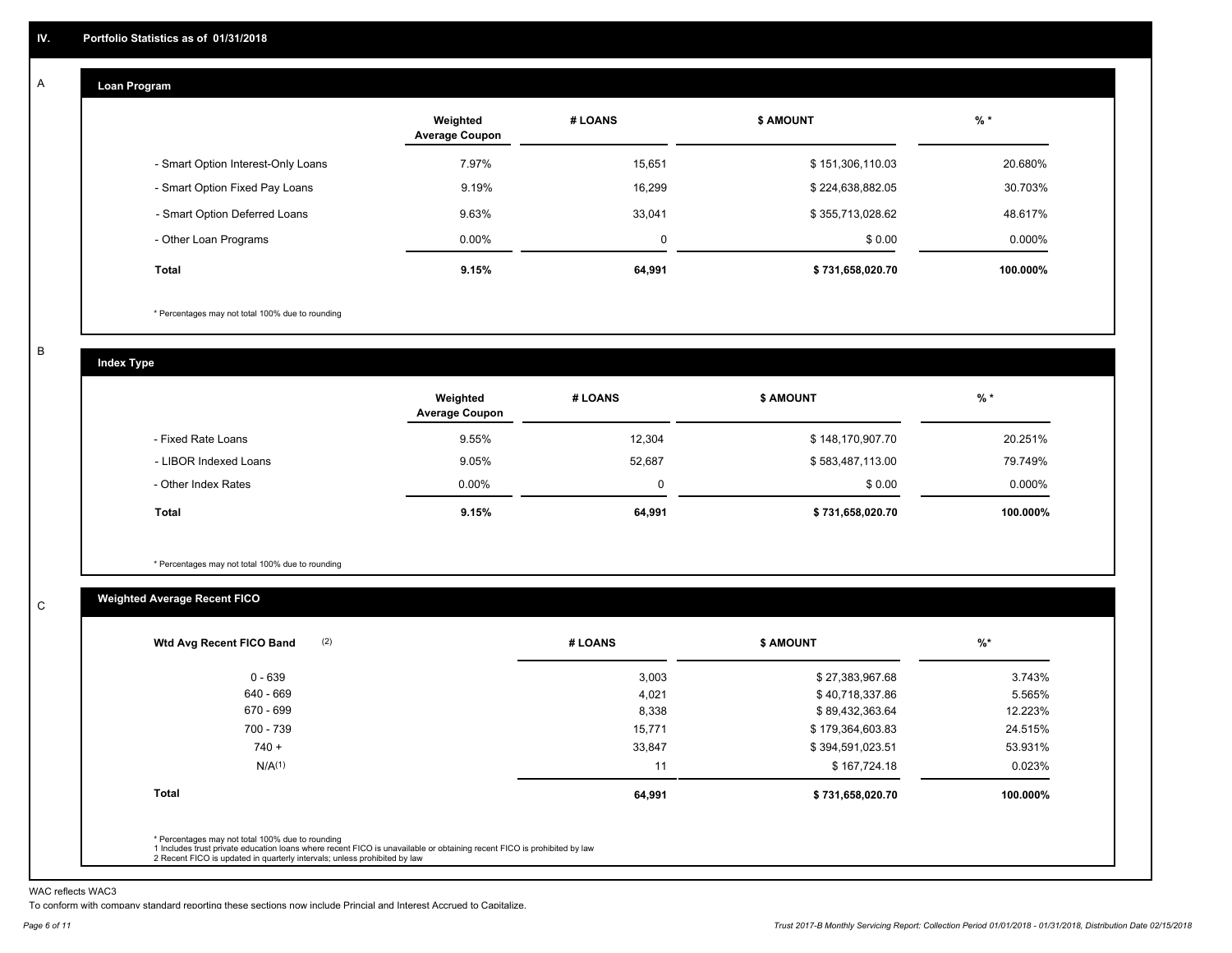#### **Loan Program**  A

|                                    | Weighted<br><b>Average Coupon</b> | # LOANS     | <b>\$ AMOUNT</b> | $%$ *    |
|------------------------------------|-----------------------------------|-------------|------------------|----------|
| - Smart Option Interest-Only Loans | 7.97%                             | 15.651      | \$151,306,110.03 | 20.680%  |
| - Smart Option Fixed Pay Loans     | 9.19%                             | 16.299      | \$224,638,882.05 | 30.703%  |
| - Smart Option Deferred Loans      | 9.63%                             | 33.041      | \$355,713,028.62 | 48.617%  |
| - Other Loan Programs              | $0.00\%$                          | $\mathbf 0$ | \$0.00           | 0.000%   |
| <b>Total</b>                       | 9.15%                             | 64,991      | \$731,658,020.70 | 100.000% |

\* Percentages may not total 100% due to rounding

B

C

**Index Type**

|                       | Weighted<br><b>Average Coupon</b> | # LOANS     | <b>\$ AMOUNT</b> | $%$ *     |
|-----------------------|-----------------------------------|-------------|------------------|-----------|
| - Fixed Rate Loans    | 9.55%                             | 12.304      | \$148,170,907.70 | 20.251%   |
| - LIBOR Indexed Loans | 9.05%                             | 52,687      | \$583,487,113.00 | 79.749%   |
| - Other Index Rates   | $0.00\%$                          | $\mathbf 0$ | \$0.00           | $0.000\%$ |
| Total                 | 9.15%                             | 64,991      | \$731,658,020.70 | 100.000%  |

\* Percentages may not total 100% due to rounding

### **Weighted Average Recent FICO**

| 3,003<br>4,021<br>8,338 | \$27,383,967.68<br>\$40,718,337.86<br>\$89,432,363.64 | 3.743%<br>5.565% |
|-------------------------|-------------------------------------------------------|------------------|
|                         |                                                       |                  |
|                         |                                                       |                  |
|                         |                                                       | 12.223%          |
| 15,771                  | \$179,364,603.83                                      | 24.515%          |
| 33,847                  | \$394,591,023.51                                      | 53.931%          |
| 11                      | \$167,724.18                                          | 0.023%           |
| 64,991                  | \$731,658,020.70                                      | 100.000%         |
|                         |                                                       |                  |

WAC reflects WAC3

To conform with company standard reporting these sections now include Princial and Interest Accrued to Capitalize.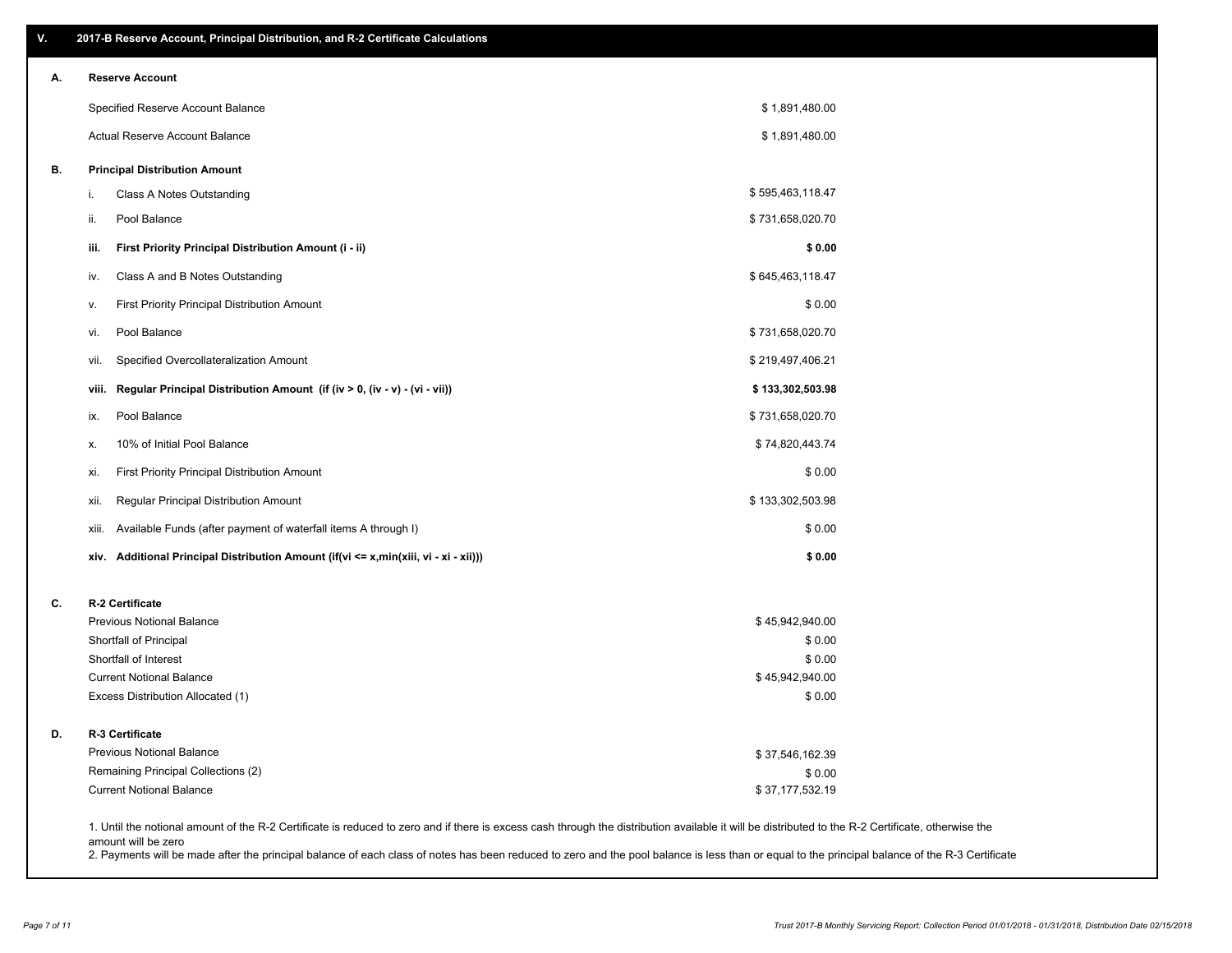| V. | 2017-B Reserve Account, Principal Distribution, and R-2 Certificate Calculations     |                                                                                                                                                                                                    |
|----|--------------------------------------------------------------------------------------|----------------------------------------------------------------------------------------------------------------------------------------------------------------------------------------------------|
| А. | <b>Reserve Account</b>                                                               |                                                                                                                                                                                                    |
|    | Specified Reserve Account Balance                                                    | \$1,891,480.00                                                                                                                                                                                     |
|    | Actual Reserve Account Balance                                                       | \$1,891,480.00                                                                                                                                                                                     |
| В. | <b>Principal Distribution Amount</b>                                                 |                                                                                                                                                                                                    |
|    | Class A Notes Outstanding<br>i.                                                      | \$595,463,118.47                                                                                                                                                                                   |
|    | Pool Balance<br>ii.                                                                  | \$731,658,020.70                                                                                                                                                                                   |
|    | First Priority Principal Distribution Amount (i - ii)<br>iii.                        | \$0.00                                                                                                                                                                                             |
|    | Class A and B Notes Outstanding<br>iv.                                               | \$645,463,118.47                                                                                                                                                                                   |
|    | First Priority Principal Distribution Amount<br>۷.                                   | \$0.00                                                                                                                                                                                             |
|    | Pool Balance<br>vi.                                                                  | \$731,658,020.70                                                                                                                                                                                   |
|    | Specified Overcollateralization Amount<br>vii.                                       | \$219,497,406.21                                                                                                                                                                                   |
|    | Regular Principal Distribution Amount (if (iv > 0, (iv - v) - (vi - vii))<br>viii.   | \$133,302,503.98                                                                                                                                                                                   |
|    | Pool Balance<br>ix.                                                                  | \$731,658,020.70                                                                                                                                                                                   |
|    | 10% of Initial Pool Balance<br>х.                                                    | \$74,820,443.74                                                                                                                                                                                    |
|    | First Priority Principal Distribution Amount<br>xi.                                  | \$0.00                                                                                                                                                                                             |
|    | Regular Principal Distribution Amount<br>xii.                                        | \$133,302,503.98                                                                                                                                                                                   |
|    | Available Funds (after payment of waterfall items A through I)<br>xiii.              | \$0.00                                                                                                                                                                                             |
|    | xiv. Additional Principal Distribution Amount (if(vi <= x,min(xiii, vi - xi - xii))) | \$0.00                                                                                                                                                                                             |
| C. | R-2 Certificate                                                                      |                                                                                                                                                                                                    |
|    | <b>Previous Notional Balance</b>                                                     | \$45,942,940.00                                                                                                                                                                                    |
|    | Shortfall of Principal                                                               | \$0.00                                                                                                                                                                                             |
|    | Shortfall of Interest<br><b>Current Notional Balance</b>                             | \$0.00<br>\$45,942,940.00                                                                                                                                                                          |
|    | Excess Distribution Allocated (1)                                                    | \$0.00                                                                                                                                                                                             |
| D. | R-3 Certificate                                                                      |                                                                                                                                                                                                    |
|    | <b>Previous Notional Balance</b>                                                     | \$37,546,162.39                                                                                                                                                                                    |
|    | Remaining Principal Collections (2)                                                  | \$0.00                                                                                                                                                                                             |
|    | <b>Current Notional Balance</b>                                                      | \$37,177,532.19                                                                                                                                                                                    |
|    |                                                                                      | 1. Until the notional amount of the R-2 Certificate is reduced to zero and if there is excess cash through the distribution available it will be distributed to the R-2 Certificate, otherwise the |

amount will be zero

2. Payments will be made after the principal balance of each class of notes has been reduced to zero and the pool balance is less than or equal to the principal balance of the R-3 Certificate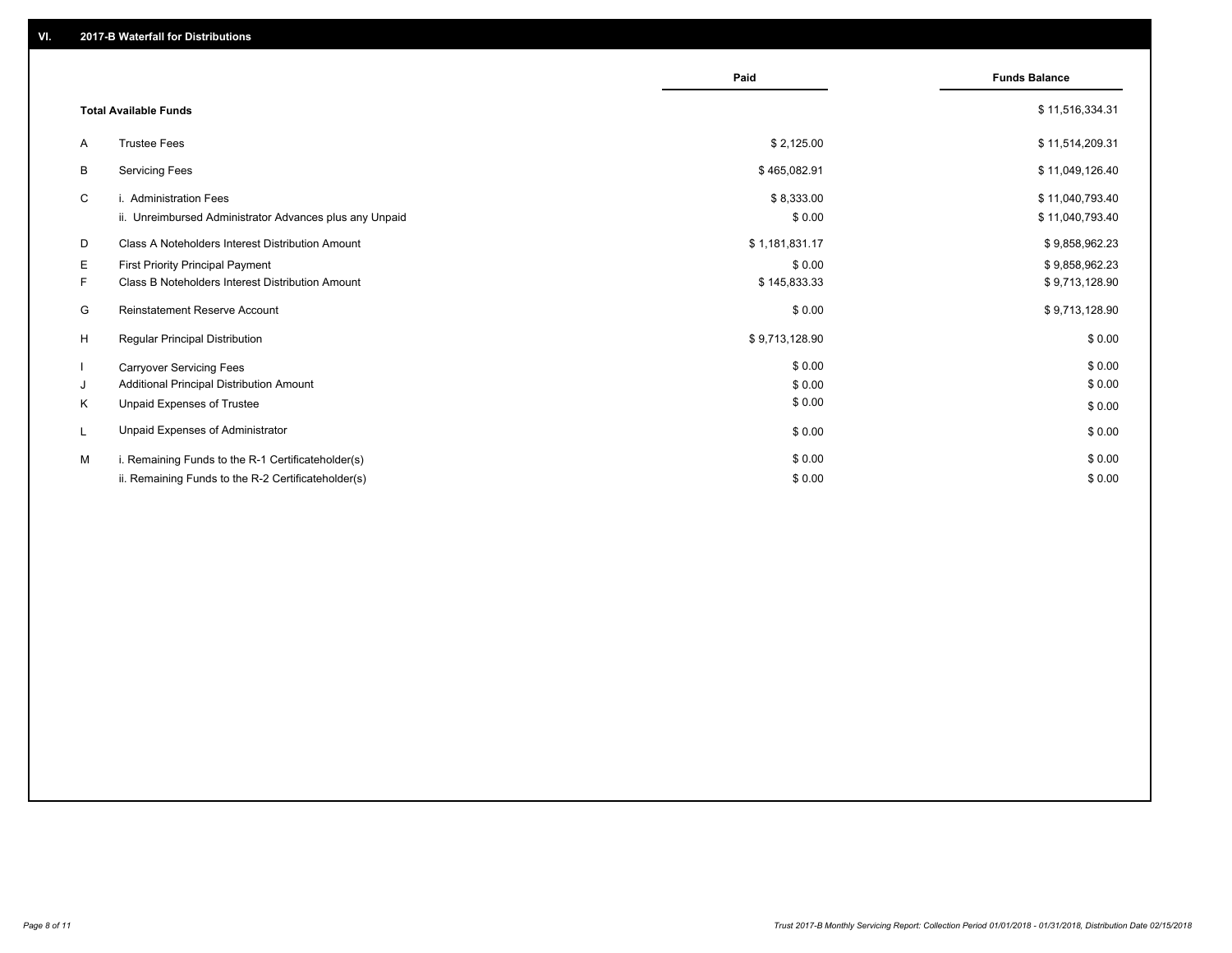|    |                                                         | Paid           | <b>Funds Balance</b> |
|----|---------------------------------------------------------|----------------|----------------------|
|    | <b>Total Available Funds</b>                            |                | \$11,516,334.31      |
| A  | <b>Trustee Fees</b>                                     | \$2,125.00     | \$11,514,209.31      |
| В  | <b>Servicing Fees</b>                                   | \$465,082.91   | \$11,049,126.40      |
| C  | i. Administration Fees                                  | \$8,333.00     | \$11,040,793.40      |
|    | ii. Unreimbursed Administrator Advances plus any Unpaid | \$0.00         | \$11,040,793.40      |
| D  | Class A Noteholders Interest Distribution Amount        | \$1,181,831.17 | \$9,858,962.23       |
| Е  | <b>First Priority Principal Payment</b>                 | \$0.00         | \$9,858,962.23       |
| F. | Class B Noteholders Interest Distribution Amount        | \$145,833.33   | \$9,713,128.90       |
| G  | Reinstatement Reserve Account                           | \$0.00         | \$9,713,128.90       |
| H  | <b>Regular Principal Distribution</b>                   | \$9,713,128.90 | \$0.00               |
|    | <b>Carryover Servicing Fees</b>                         | \$0.00         | \$0.00               |
| J  | Additional Principal Distribution Amount                | \$0.00         | \$0.00               |
| Κ  | Unpaid Expenses of Trustee                              | \$0.00         | \$0.00               |
| L  | Unpaid Expenses of Administrator                        | \$0.00         | \$0.00               |
| M  | i. Remaining Funds to the R-1 Certificateholder(s)      | \$0.00         | \$0.00               |
|    | ii. Remaining Funds to the R-2 Certificateholder(s)     | \$0.00         | \$0.00               |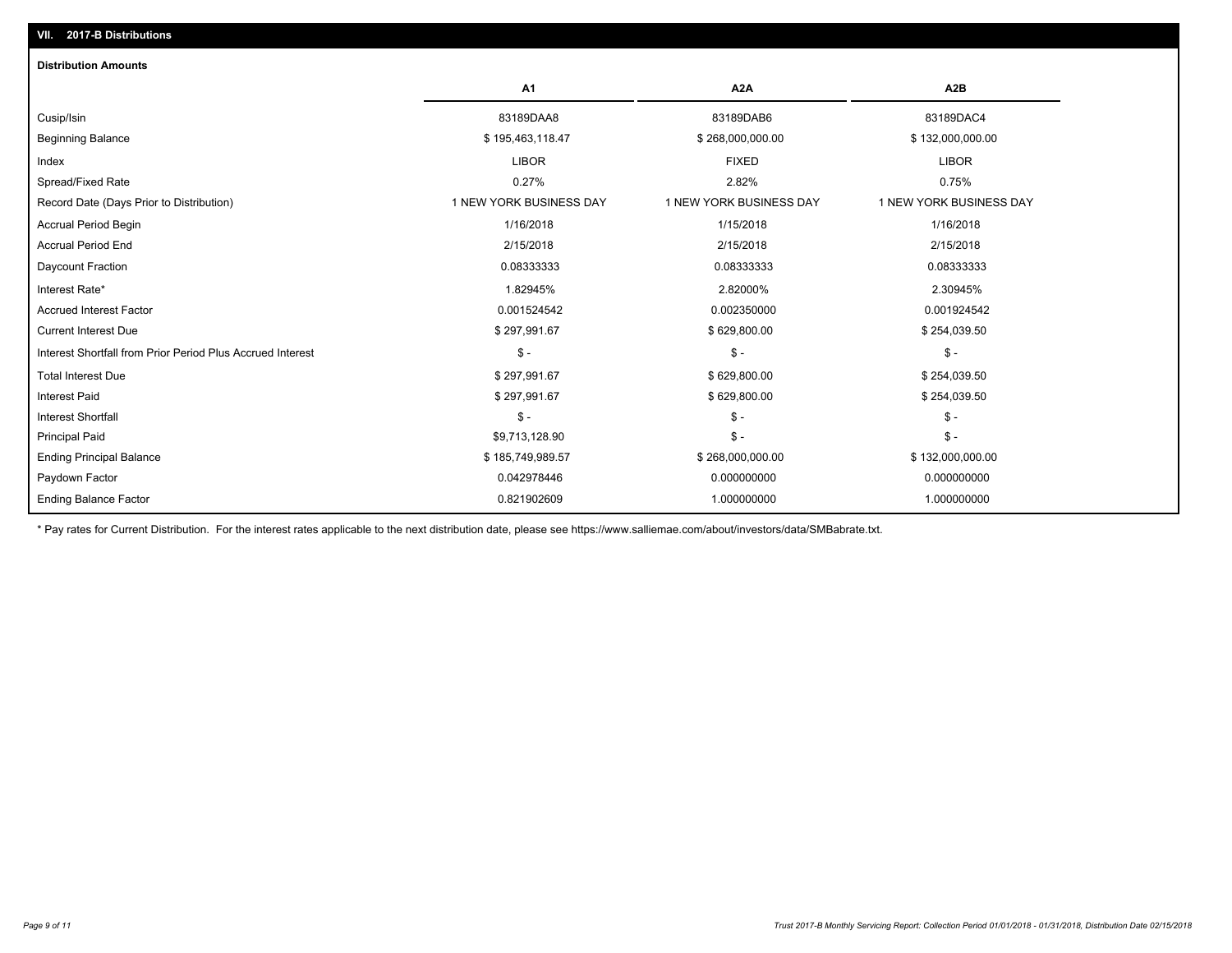| <b>Distribution Amounts</b>                                |                         |                         |                         |
|------------------------------------------------------------|-------------------------|-------------------------|-------------------------|
|                                                            | A <sub>1</sub>          | A <sub>2</sub> A        | A <sub>2</sub> B        |
| Cusip/Isin                                                 | 83189DAA8               | 83189DAB6               | 83189DAC4               |
| <b>Beginning Balance</b>                                   | \$195,463,118.47        | \$268,000,000.00        | \$132,000,000.00        |
| Index                                                      | <b>LIBOR</b>            | <b>FIXED</b>            | <b>LIBOR</b>            |
| Spread/Fixed Rate                                          | 0.27%                   | 2.82%                   | 0.75%                   |
| Record Date (Days Prior to Distribution)                   | 1 NEW YORK BUSINESS DAY | 1 NEW YORK BUSINESS DAY | 1 NEW YORK BUSINESS DAY |
| <b>Accrual Period Begin</b>                                | 1/16/2018               | 1/15/2018               | 1/16/2018               |
| <b>Accrual Period End</b>                                  | 2/15/2018               | 2/15/2018               | 2/15/2018               |
| Daycount Fraction                                          | 0.08333333              | 0.08333333              | 0.08333333              |
| Interest Rate*                                             | 1.82945%                | 2.82000%                | 2.30945%                |
| <b>Accrued Interest Factor</b>                             | 0.001524542             | 0.002350000             | 0.001924542             |
| <b>Current Interest Due</b>                                | \$297,991.67            | \$629,800.00            | \$254,039.50            |
| Interest Shortfall from Prior Period Plus Accrued Interest | $\mathsf{\$}$ -         | $\mathsf{\$}$ -         | $\mathsf{\$}$ -         |
| <b>Total Interest Due</b>                                  | \$297,991.67            | \$629,800.00            | \$254,039.50            |
| <b>Interest Paid</b>                                       | \$297,991.67            | \$629,800.00            | \$254,039.50            |
| <b>Interest Shortfall</b>                                  | $S -$                   | $$ -$                   | $\mathsf{\$}$ -         |
| <b>Principal Paid</b>                                      | \$9,713,128.90          | $\mathsf{\$}$ -         | $\mathsf{\$}$ -         |
| <b>Ending Principal Balance</b>                            | \$185,749,989.57        | \$268,000,000.00        | \$132,000,000.00        |
| Paydown Factor                                             | 0.042978446             | 0.000000000             | 0.000000000             |
| <b>Ending Balance Factor</b>                               | 0.821902609             | 1.000000000             | 1.000000000             |

\* Pay rates for Current Distribution. For the interest rates applicable to the next distribution date, please see https://www.salliemae.com/about/investors/data/SMBabrate.txt.

**VII. 2017-B Distributions**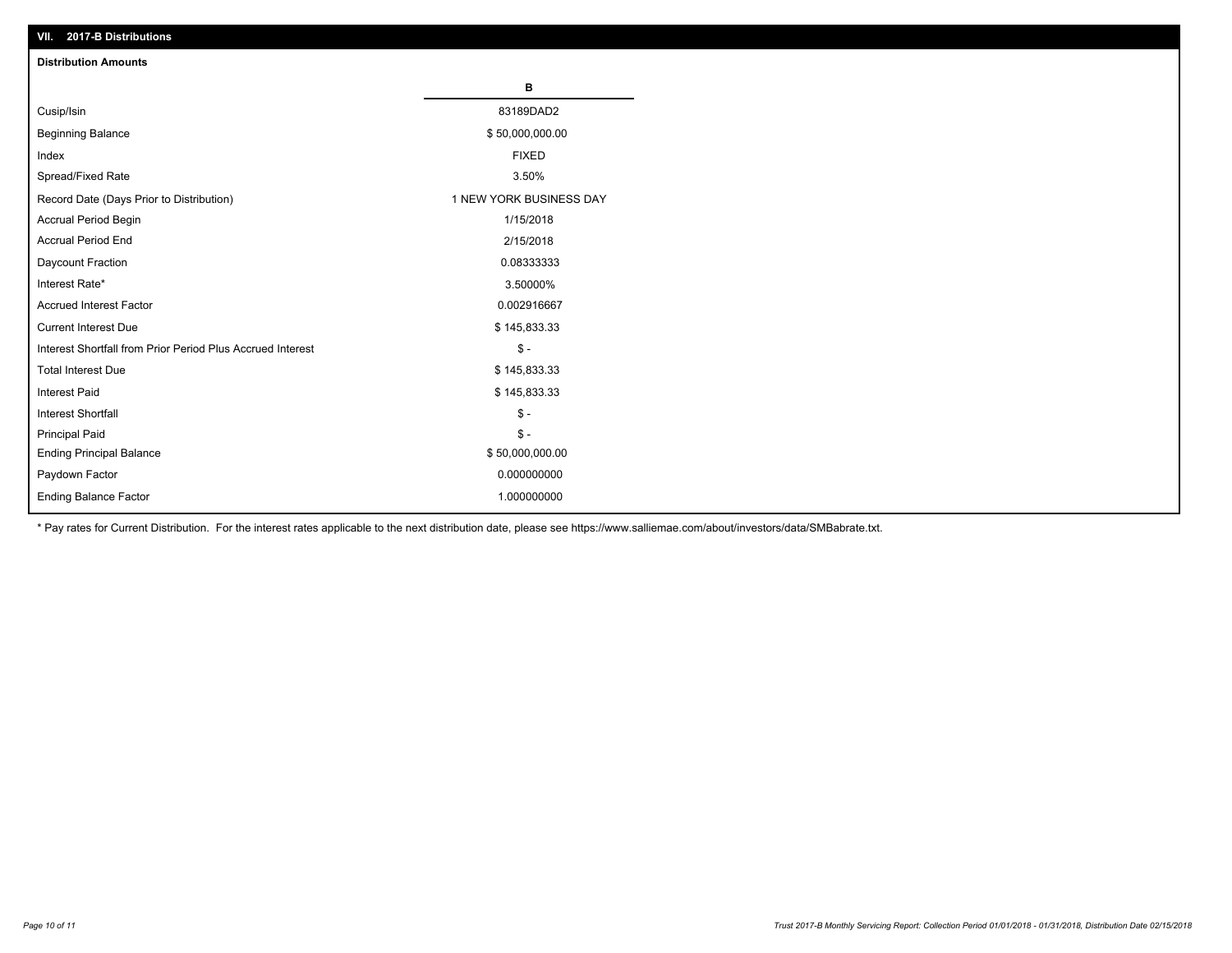| VII. 2017-B Distributions                                  |                         |
|------------------------------------------------------------|-------------------------|
| <b>Distribution Amounts</b>                                |                         |
|                                                            | в                       |
| Cusip/Isin                                                 | 83189DAD2               |
| <b>Beginning Balance</b>                                   | \$50,000,000.00         |
| Index                                                      | <b>FIXED</b>            |
| Spread/Fixed Rate                                          | 3.50%                   |
| Record Date (Days Prior to Distribution)                   | 1 NEW YORK BUSINESS DAY |
| Accrual Period Begin                                       | 1/15/2018               |
| <b>Accrual Period End</b>                                  | 2/15/2018               |
| Daycount Fraction                                          | 0.08333333              |
| Interest Rate*                                             | 3.50000%                |
| <b>Accrued Interest Factor</b>                             | 0.002916667             |
| <b>Current Interest Due</b>                                | \$145,833.33            |
| Interest Shortfall from Prior Period Plus Accrued Interest | $\mathsf{\$}$ -         |
| <b>Total Interest Due</b>                                  | \$145,833.33            |
| <b>Interest Paid</b>                                       | \$145,833.33            |
| <b>Interest Shortfall</b>                                  | $\mathsf{\$}$ -         |
| <b>Principal Paid</b>                                      | $\mathbb{S}$ -          |
| <b>Ending Principal Balance</b>                            | \$50,000,000.00         |
| Paydown Factor                                             | 0.000000000             |
| Ending Balance Factor                                      | 1.000000000             |

\* Pay rates for Current Distribution. For the interest rates applicable to the next distribution date, please see https://www.salliemae.com/about/investors/data/SMBabrate.txt.